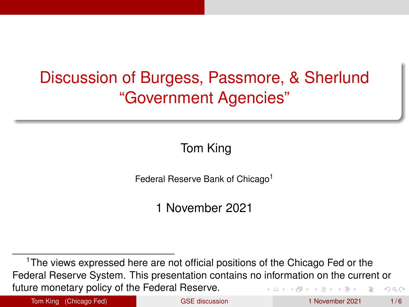# <span id="page-0-0"></span>Discussion of Burgess, Passmore, & Sherlund "Government Agencies"

Tom King

Federal Reserve Bank of Chicago<sup>1</sup>

1 November 2021

<sup>1</sup>The views expressed here are not official positions of the Chicago Fed or the Federal Reserve System. This presentation contains no information on the current or future monetary policy of the Federal Reserve.  $\Omega$ 

Tom King (Chicago Fed) [GSE discussion](#page-5-0) 1 November 2021 1/6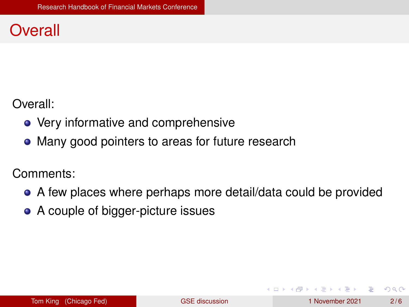#### <span id="page-1-0"></span>**Overall**

Overall:

- Very informative and comprehensive
- Many good pointers to areas for future research

Comments:

- A few places where perhaps more detail/data could be provided
- A couple of bigger-picture issues

 $\Omega$ 

 $1.71 \times 1.71 \times$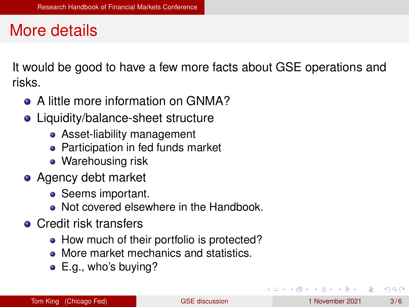#### More details

It would be good to have a few more facts about GSE operations and risks.

- A little more information on GNMA?
- Liquidity/balance-sheet structure
	- Asset-liability management
	- Participation in fed funds market
	- Warehousing risk
- Agency debt market
	- Seems important.
	- Not covered elsewhere in the Handbook.
- **Credit risk transfers** 
	- How much of their portfolio is protected?
	- More market mechanics and statistics.
	- E.g., who's buying?

 $\Omega$ 

The South Book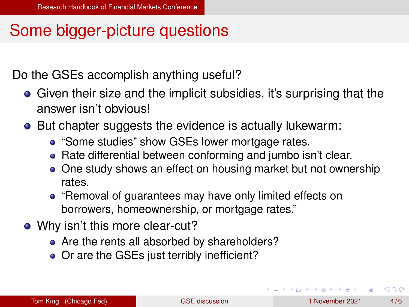## <span id="page-3-0"></span>Some bigger-picture questions

Do the GSEs accomplish anything useful?

- **•** Given their size and the implicit subsidies, it's surprising that the answer isn't obvious!
- But chapter suggests the evidence is actually lukewarm:
	- "Some studies" show GSEs lower mortgage rates.
	- Rate differential between conforming and jumbo isn't clear.
	- One study shows an effect on housing market but not ownership rates.
	- "Removal of guarantees may have only limited effects on borrowers, homeownership, or mortgage rates."
- Why isn't this more clear-cut?
	- Are the rents all absorbed by shareholders?
	- Or are the GSEs just terribly inefficient?

 $\Omega$ 

イロト イ押 トイラト イラトー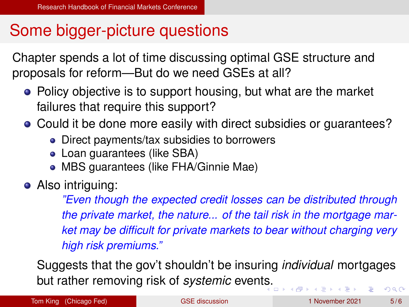### Some bigger-picture questions

Chapter spends a lot of time discussing optimal GSE structure and proposals for reform—But do we need GSEs at all?

- Policy objective is to support housing, but what are the market failures that require this support?
- Could it be done more easily with direct subsidies or guarantees?
	- Direct payments/tax subsidies to borrowers
	- Loan guarantees (like SBA)
	- MBS guarantees (like FHA/Ginnie Mae)
- Also intriguing:

*"Even though the expected credit losses can be distributed through the private market, the nature... of the tail risk in the mortgage market may be difficult for private markets to bear without charging very high risk premiums."*

Suggests that the gov't shouldn't be insuring *individual* mortgages but rather removing risk of *systemic* even[ts.](#page-3-0)  $\Omega$ 

Tom King (Chicago Fed) [GSE discussion](#page-0-0) 1 November 2021 5/6